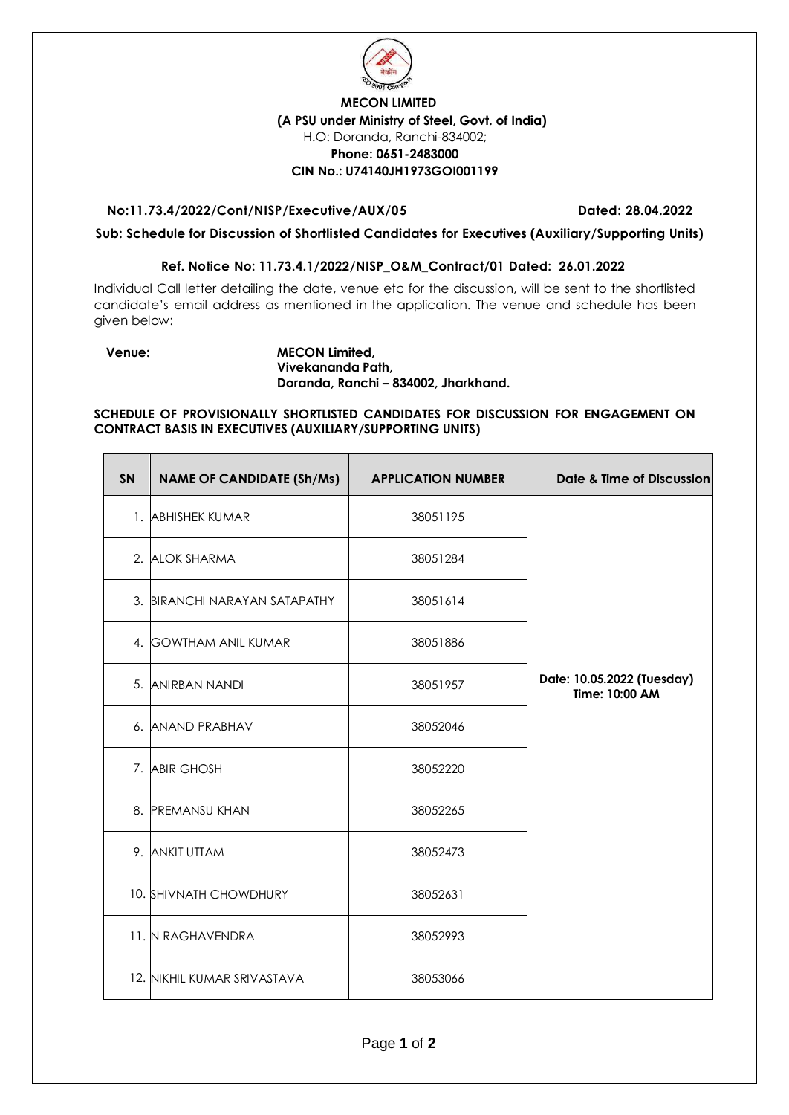

## **MECON LIMITED (A PSU under Ministry of Steel, Govt. of India)** H.O: Doranda, Ranchi-834002; **Phone: 0651-2483000 CIN No.: U74140JH1973GOI001199**

### **No:11.73.4/2022/Cont/NISP/Executive/AUX/05 Dated: 28.04.2022**

**Sub: Schedule for Discussion of Shortlisted Candidates for Executives (Auxiliary/Supporting Units)** 

### **Ref. Notice No: 11.73.4.1/2022/NISP\_O&M\_Contract/01 Dated: 26.01.2022**

Individual Call letter detailing the date, venue etc for the discussion, will be sent to the shortlisted candidate's email address as mentioned in the application. The venue and schedule has been given below:

Е

#### **Venue: MECON Limited, Vivekananda Path, Doranda, Ranchi – 834002, Jharkhand.**

**SCHEDULE OF PROVISIONALLY SHORTLISTED CANDIDATES FOR DISCUSSION FOR ENGAGEMENT ON CONTRACT BASIS IN EXECUTIVES (AUXILIARY/SUPPORTING UNITS)**

| <b>SN</b> | <b>NAME OF CANDIDATE (Sh/Ms)</b> | <b>APPLICATION NUMBER</b> | Date & Time of Discussion                    |
|-----------|----------------------------------|---------------------------|----------------------------------------------|
|           | 1. ABHISHEK KUMAR                | 38051195                  |                                              |
|           | 2. ALOK SHARMA                   | 38051284                  |                                              |
|           | 3. BIRANCHI NARAYAN SATAPATHY    | 38051614                  |                                              |
|           | 4. GOWTHAM ANIL KUMAR            | 38051886                  |                                              |
|           | 5. ANIRBAN NANDI                 | 38051957                  | Date: 10.05.2022 (Tuesday)<br>Time: 10:00 AM |
|           | 6. ANAND PRABHAV                 | 38052046                  |                                              |
|           | 7. ABIR GHOSH                    | 38052220                  |                                              |
| 8.        | <b>PREMANSU KHAN</b>             | 38052265                  |                                              |
|           | 9. ANKIT UTTAM                   | 38052473                  |                                              |
|           | 10. SHIVNATH CHOWDHURY           | 38052631                  |                                              |
|           | 11. N RAGHAVENDRA                | 38052993                  |                                              |
|           | 12. NIKHIL KUMAR SRIVASTAVA      | 38053066                  |                                              |